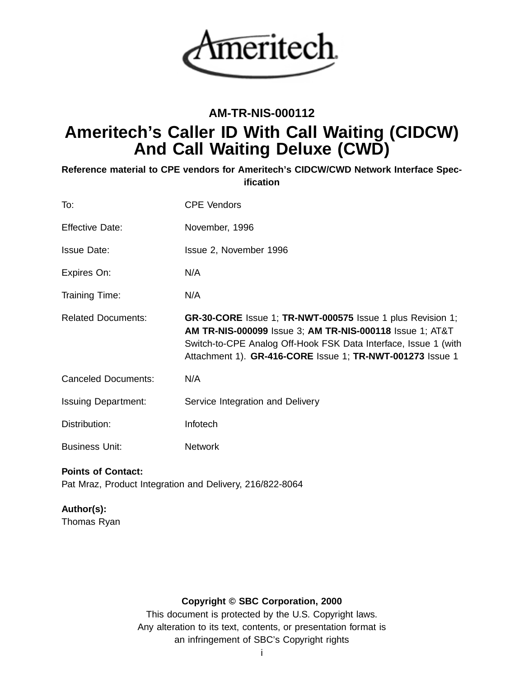

# **AM-TR-NIS-000112 Ameritech's Caller ID With Call Waiting (CIDCW) And Call Waiting Deluxe (CWD)**

**Reference material to CPE vendors for Ameritech's CIDCW/CWD Network Interface Specification**

| To:                        | <b>CPE Vendors</b>                                                                                                                                                                                                                                                |  |
|----------------------------|-------------------------------------------------------------------------------------------------------------------------------------------------------------------------------------------------------------------------------------------------------------------|--|
| <b>Effective Date:</b>     | November, 1996                                                                                                                                                                                                                                                    |  |
| <b>Issue Date:</b>         | Issue 2, November 1996                                                                                                                                                                                                                                            |  |
| Expires On:                | N/A                                                                                                                                                                                                                                                               |  |
| Training Time:             | N/A                                                                                                                                                                                                                                                               |  |
| <b>Related Documents:</b>  | GR-30-CORE Issue 1; TR-NWT-000575 Issue 1 plus Revision 1;<br><b>AM TR-NIS-000099 Issue 3; AM TR-NIS-000118 Issue 1; AT&amp;T</b><br>Switch-to-CPE Analog Off-Hook FSK Data Interface, Issue 1 (with<br>Attachment 1). GR-416-CORE Issue 1; TR-NWT-001273 Issue 1 |  |
| <b>Canceled Documents:</b> | N/A                                                                                                                                                                                                                                                               |  |
| <b>Issuing Department:</b> | Service Integration and Delivery                                                                                                                                                                                                                                  |  |
| Distribution:              | Infotech                                                                                                                                                                                                                                                          |  |
| <b>Business Unit:</b>      | <b>Network</b>                                                                                                                                                                                                                                                    |  |

# **Points of Contact:**

Pat Mraz, Product Integration and Delivery, 216/822-8064

**Author(s):**

Thomas Ryan

#### **Copyright © SBC Corporation, 2000**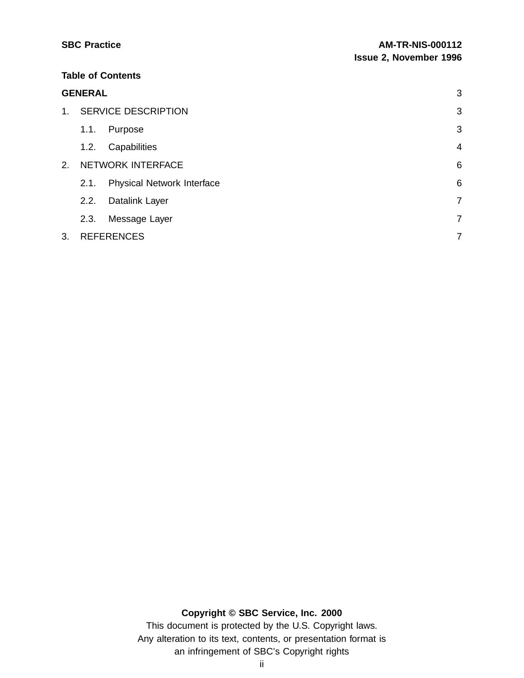| <b>SBC Practice</b> |      |                                   | <b>AM-TR-NIS-000112</b><br><b>Issue 2, November 1996</b> |  |
|---------------------|------|-----------------------------------|----------------------------------------------------------|--|
|                     |      | <b>Table of Contents</b>          |                                                          |  |
| <b>GENERAL</b>      |      |                                   | 3                                                        |  |
| $1_{-}$             |      | <b>SERVICE DESCRIPTION</b>        | 3                                                        |  |
|                     | 1.1. | Purpose                           | 3                                                        |  |
|                     | 1.2. | Capabilities                      | 4                                                        |  |
| 2.                  |      | <b>NETWORK INTERFACE</b>          |                                                          |  |
|                     | 2.1. | <b>Physical Network Interface</b> | 6                                                        |  |
|                     | 2.2. | Datalink Layer                    | 7                                                        |  |
|                     | ົດ ລ | Moogage Lough                     | $\overline{\phantom{a}}$                                 |  |

# 2.3. Message Layer 7 3. REFERENCES 7

**Copyright © SBC Service, Inc. 2000**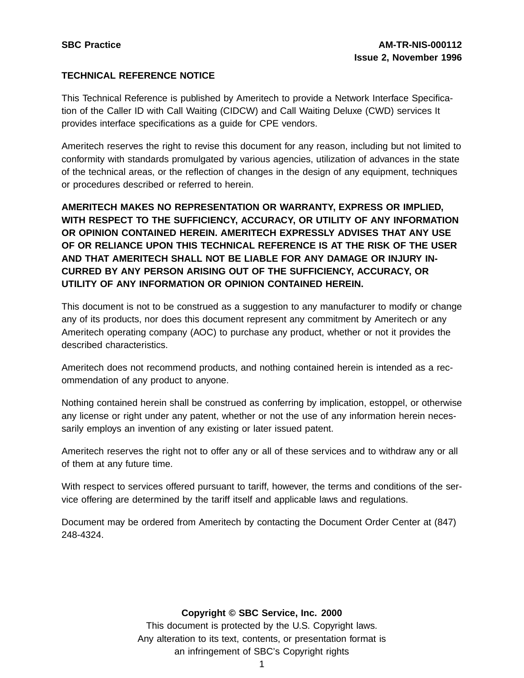#### **TECHNICAL REFERENCE NOTICE**

This Technical Reference is published by Ameritech to provide a Network Interface Specification of the Caller ID with Call Waiting (CIDCW) and Call Waiting Deluxe (CWD) services It provides interface specifications as a guide for CPE vendors.

Ameritech reserves the right to revise this document for any reason, including but not limited to conformity with standards promulgated by various agencies, utilization of advances in the state of the technical areas, or the reflection of changes in the design of any equipment, techniques or procedures described or referred to herein.

**AMERITECH MAKES NO REPRESENTATION OR WARRANTY, EXPRESS OR IMPLIED, WITH RESPECT TO THE SUFFICIENCY, ACCURACY, OR UTILITY OF ANY INFORMATION OR OPINION CONTAINED HEREIN. AMERITECH EXPRESSLY ADVISES THAT ANY USE OF OR RELIANCE UPON THIS TECHNICAL REFERENCE IS AT THE RISK OF THE USER AND THAT AMERITECH SHALL NOT BE LIABLE FOR ANY DAMAGE OR INJURY IN-CURRED BY ANY PERSON ARISING OUT OF THE SUFFICIENCY, ACCURACY, OR UTILITY OF ANY INFORMATION OR OPINION CONTAINED HEREIN.**

This document is not to be construed as a suggestion to any manufacturer to modify or change any of its products, nor does this document represent any commitment by Ameritech or any Ameritech operating company (AOC) to purchase any product, whether or not it provides the described characteristics.

Ameritech does not recommend products, and nothing contained herein is intended as a recommendation of any product to anyone.

Nothing contained herein shall be construed as conferring by implication, estoppel, or otherwise any license or right under any patent, whether or not the use of any information herein necessarily employs an invention of any existing or later issued patent.

Ameritech reserves the right not to offer any or all of these services and to withdraw any or all of them at any future time.

With respect to services offered pursuant to tariff, however, the terms and conditions of the service offering are determined by the tariff itself and applicable laws and regulations.

Document may be ordered from Ameritech by contacting the Document Order Center at (847) 248-4324.

#### **Copyright © SBC Service, Inc. 2000**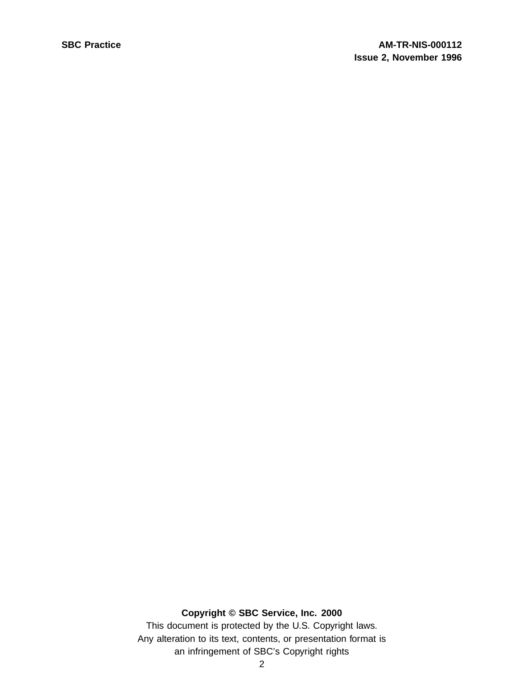# **Copyright © SBC Service, Inc. 2000**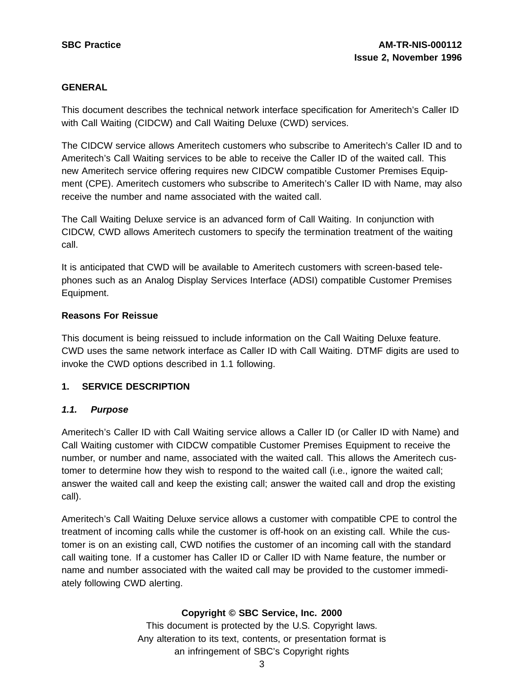#### **GENERAL**

This document describes the technical network interface specification for Ameritech's Caller ID with Call Waiting (CIDCW) and Call Waiting Deluxe (CWD) services.

The CIDCW service allows Ameritech customers who subscribe to Ameritech's Caller ID and to Ameritech's Call Waiting services to be able to receive the Caller ID of the waited call. This new Ameritech service offering requires new CIDCW compatible Customer Premises Equipment (CPE). Ameritech customers who subscribe to Ameritech's Caller ID with Name, may also receive the number and name associated with the waited call.

The Call Waiting Deluxe service is an advanced form of Call Waiting. In conjunction with CIDCW, CWD allows Ameritech customers to specify the termination treatment of the waiting call.

It is anticipated that CWD will be available to Ameritech customers with screen-based telephones such as an Analog Display Services Interface (ADSI) compatible Customer Premises Equipment.

#### **Reasons For Reissue**

This document is being reissued to include information on the Call Waiting Deluxe feature. CWD uses the same network interface as Caller ID with Call Waiting. DTMF digits are used to invoke the CWD options described in 1.1 following.

# **1. SERVICE DESCRIPTION**

#### **1.1. Purpose**

Ameritech's Caller ID with Call Waiting service allows a Caller ID (or Caller ID with Name) and Call Waiting customer with CIDCW compatible Customer Premises Equipment to receive the number, or number and name, associated with the waited call. This allows the Ameritech customer to determine how they wish to respond to the waited call (i.e., ignore the waited call; answer the waited call and keep the existing call; answer the waited call and drop the existing call).

Ameritech's Call Waiting Deluxe service allows a customer with compatible CPE to control the treatment of incoming calls while the customer is off-hook on an existing call. While the customer is on an existing call, CWD notifies the customer of an incoming call with the standard call waiting tone. If a customer has Caller ID or Caller ID with Name feature, the number or name and number associated with the waited call may be provided to the customer immediately following CWD alerting.

# **Copyright © SBC Service, Inc. 2000**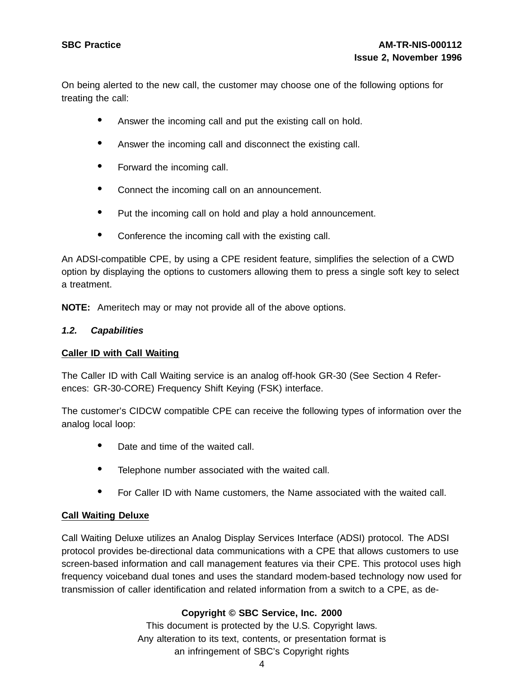On being alerted to the new call, the customer may choose one of the following options for treating the call:

- Answer the incoming call and put the existing call on hold.
- Answer the incoming call and disconnect the existing call.
- Forward the incoming call.
- Connect the incoming call on an announcement.
- Put the incoming call on hold and play a hold announcement.
- Conference the incoming call with the existing call.

An ADSI-compatible CPE, by using a CPE resident feature, simplifies the selection of a CWD option by displaying the options to customers allowing them to press a single soft key to select a treatment.

**NOTE:** Ameritech may or may not provide all of the above options.

#### **1.2. Capabilities**

# **Caller ID with Call Waiting**

The Caller ID with Call Waiting service is an analog off-hook GR-30 (See Section 4 References: GR-30-CORE) Frequency Shift Keying (FSK) interface.

The customer's CIDCW compatible CPE can receive the following types of information over the analog local loop:

- Date and time of the waited call.
- Telephone number associated with the waited call.
- For Caller ID with Name customers, the Name associated with the waited call.

# **Call Waiting Deluxe**

Call Waiting Deluxe utilizes an Analog Display Services Interface (ADSI) protocol. The ADSI protocol provides be-directional data communications with a CPE that allows customers to use screen-based information and call management features via their CPE. This protocol uses high frequency voiceband dual tones and uses the standard modem-based technology now used for transmission of caller identification and related information from a switch to a CPE, as de-

# **Copyright © SBC Service, Inc. 2000**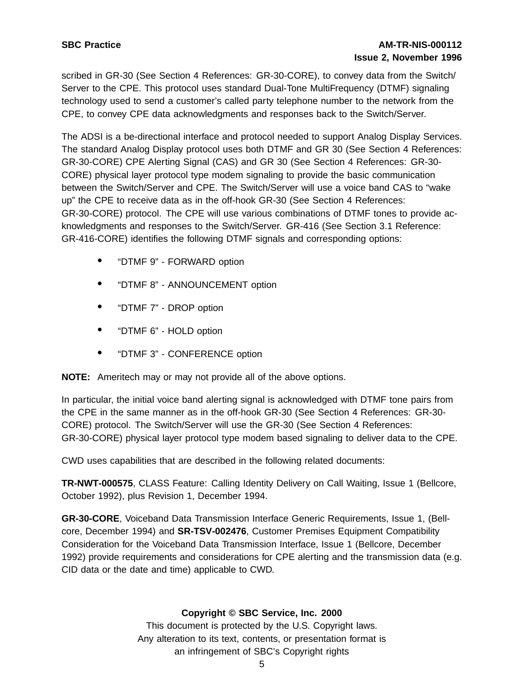# **SBC Practice AM-TR-NIS-000112 Issue 2, November 1996**

scribed in GR-30 (See Section 4 References: GR-30-CORE), to convey data from the Switch/ Server to the CPE. This protocol uses standard Dual-Tone MultiFrequency (DTMF) signaling technology used to send a customer's called party telephone number to the network from the CPE, to convey CPE data acknowledgments and responses back to the Switch/Server.

The ADSI is a be-directional interface and protocol needed to support Analog Display Services. The standard Analog Display protocol uses both DTMF and GR 30 (See Section 4 References: GR-30-CORE) CPE Alerting Signal (CAS) and GR 30 (See Section 4 References: GR-30- CORE) physical layer protocol type modem signaling to provide the basic communication between the Switch/Server and CPE. The Switch/Server will use a voice band CAS to "wake up" the CPE to receive data as in the off-hook GR-30 (See Section 4 References: GR-30-CORE) protocol. The CPE will use various combinations of DTMF tones to provide acknowledgments and responses to the Switch/Server. GR-416 (See Section 3.1 Reference: GR-416-CORE) identifies the following DTMF signals and corresponding options:

- "DTMF 9" FORWARD option
- "DTMF 8" ANNOUNCEMENT option
- "DTMF 7" DROP option
- "DTMF 6" HOLD option
- "DTMF 3" CONFERENCE option

**NOTE:** Ameritech may or may not provide all of the above options.

In particular, the initial voice band alerting signal is acknowledged with DTMF tone pairs from the CPE in the same manner as in the off-hook GR-30 (See Section 4 References: GR-30- CORE) protocol. The Switch/Server will use the GR-30 (See Section 4 References: GR-30-CORE) physical layer protocol type modem based signaling to deliver data to the CPE.

CWD uses capabilities that are described in the following related documents:

**TR-NWT-000575**, CLASS Feature: Calling Identity Delivery on Call Waiting, Issue 1 (Bellcore, October 1992), plus Revision 1, December 1994.

**GR-30-CORE**, Voiceband Data Transmission Interface Generic Requirements, Issue 1, (Bellcore, December 1994) and **SR-TSV-002476**, Customer Premises Equipment Compatibility Consideration for the Voiceband Data Transmission Interface, Issue 1 (Bellcore, December 1992) provide requirements and considerations for CPE alerting and the transmission data (e.g. CID data or the date and time) applicable to CWD.

#### **Copyright © SBC Service, Inc. 2000**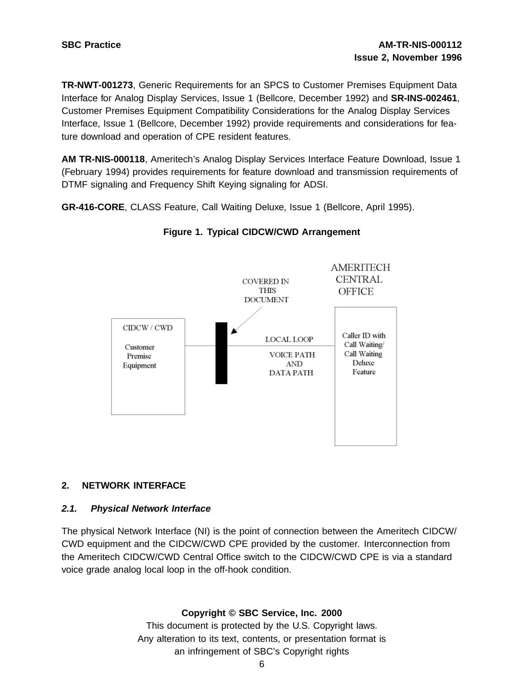**TR-NWT-001273**, Generic Requirements for an SPCS to Customer Premises Equipment Data Interface for Analog Display Services, Issue 1 (Bellcore, December 1992) and **SR-INS-002461**, Customer Premises Equipment Compatibility Considerations for the Analog Display Services Interface, Issue 1 (Bellcore, December 1992) provide requirements and considerations for feature download and operation of CPE resident features.

**AM TR-NIS-000118**, Ameritech's Analog Display Services Interface Feature Download, Issue 1 (February 1994) provides requirements for feature download and transmission requirements of DTMF signaling and Frequency Shift Keying signaling for ADSI.

**GR-416-CORE**, CLASS Feature, Call Waiting Deluxe, Issue 1 (Bellcore, April 1995).



# **Figure 1. Typical CIDCW/CWD Arrangement**

# **2. NETWORK INTERFACE**

# **2.1. Physical Network Interface**

The physical Network Interface (NI) is the point of connection between the Ameritech CIDCW/ CWD equipment and the CIDCW/CWD CPE provided by the customer. Interconnection from the Ameritech CIDCW/CWD Central Office switch to the CIDCW/CWD CPE is via a standard voice grade analog local loop in the off-hook condition.

# **Copyright © SBC Service, Inc. 2000**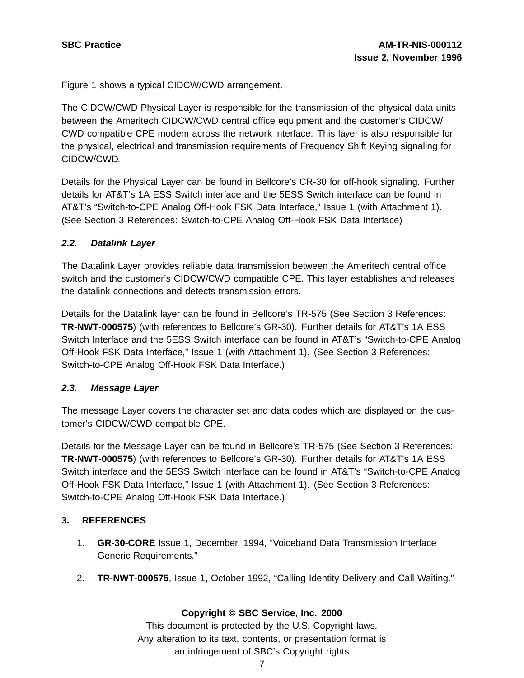Figure 1 shows a typical CIDCW/CWD arrangement.

The CIDCW/CWD Physical Layer is responsible for the transmission of the physical data units between the Ameritech CIDCW/CWD central office equipment and the customer's CIDCW/ CWD compatible CPE modem across the network interface. This layer is also responsible for the physical, electrical and transmission requirements of Frequency Shift Keying signaling for CIDCW/CWD.

Details for the Physical Layer can be found in Bellcore's CR-30 for off-hook signaling. Further details for AT&T's 1A ESS Switch interface and the 5ESS Switch interface can be found in AT&T's "Switch-to-CPE Analog Off-Hook FSK Data Interface," Issue 1 (with Attachment 1). (See Section 3 References: Switch-to-CPE Analog Off-Hook FSK Data Interface)

#### **2.2. Datalink Layer**

The Datalink Layer provides reliable data transmission between the Ameritech central office switch and the customer's CIDCW/CWD compatible CPE. This layer establishes and releases the datalink connections and detects transmission errors.

Details for the Datalink layer can be found in Bellcore's TR-575 (See Section 3 References: **TR-NWT-000575**) (with references to Bellcore's GR-30). Further details for AT&T's 1A ESS Switch Interface and the 5ESS Switch interface can be found in AT&T's "Switch-to-CPE Analog Off-Hook FSK Data Interface," Issue 1 (with Attachment 1). (See Section 3 References: Switch-to-CPE Analog Off-Hook FSK Data Interface.)

#### **2.3. Message Layer**

The message Layer covers the character set and data codes which are displayed on the customer's CIDCW/CWD compatible CPE.

Details for the Message Layer can be found in Bellcore's TR-575 (See Section 3 References: **TR-NWT-000575**) (with references to Bellcore's GR-30). Further details for AT&T's 1A ESS Switch interface and the 5ESS Switch interface can be found in AT&T's "Switch-to-CPE Analog Off-Hook FSK Data Interface," Issue 1 (with Attachment 1). (See Section 3 References: Switch-to-CPE Analog Off-Hook FSK Data Interface.)

# **3. REFERENCES**

- 1. **GR-30-CORE** Issue 1, December, 1994, "Voiceband Data Transmission Interface Generic Requirements."
- 2. **TR-NWT-000575**, Issue 1, October 1992, "Calling Identity Delivery and Call Waiting."

#### **Copyright © SBC Service, Inc. 2000**